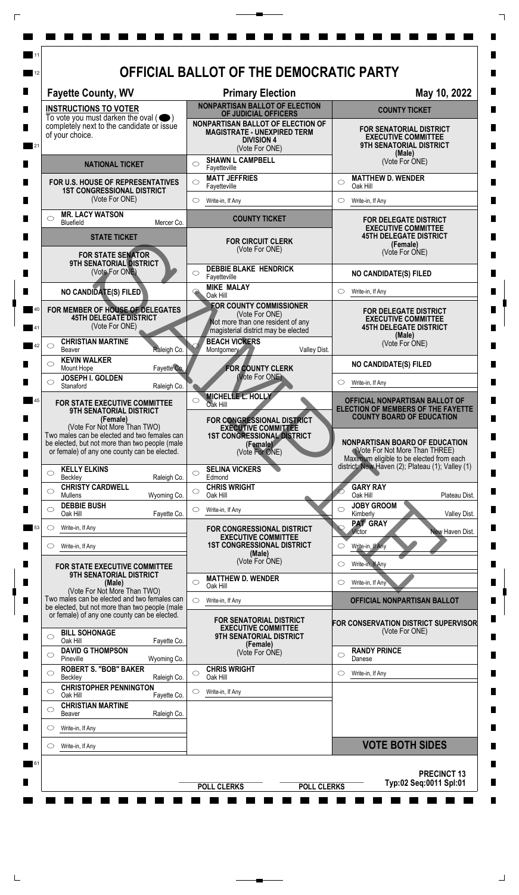|                                                                                                                                      | <b>Fayette County, WV</b>                                                                                                                      |                                            |                                                                                                                | <b>Primary Election</b>                                                                                                      |                            | May 10, 2022                                                                                                                                                            |  |  |
|--------------------------------------------------------------------------------------------------------------------------------------|------------------------------------------------------------------------------------------------------------------------------------------------|--------------------------------------------|----------------------------------------------------------------------------------------------------------------|------------------------------------------------------------------------------------------------------------------------------|----------------------------|-------------------------------------------------------------------------------------------------------------------------------------------------------------------------|--|--|
| <b>INSTRUCTIONS TO VOTER</b><br>To vote you must darken the oval $($<br>completely next to the candidate or issue<br>of your choice. |                                                                                                                                                |                                            | <b>NONPARTISAN BALLOT OF ELECTION</b><br>OF JUDICIAL OFFICERS                                                  |                                                                                                                              |                            | <b>COUNTY TICKET</b>                                                                                                                                                    |  |  |
|                                                                                                                                      |                                                                                                                                                |                                            | NONPARTISAN BALLOT OF ELECTION OF<br><b>MAGISTRATE - UNEXPIRED TERM</b><br><b>DIVISION 4</b><br>(Vote For ONE) |                                                                                                                              |                            | <b>FOR SENATORIAL DISTRICT</b><br><b>EXECUTIVE COMMITTEE</b><br><b>9TH SENATORIAL DISTRICT</b><br>(Male)                                                                |  |  |
|                                                                                                                                      | <b>NATIONAL TICKET</b>                                                                                                                         |                                            |                                                                                                                | <b>SHAWN L CAMPBELL</b><br>◯<br>Fayetteville                                                                                 |                            | (Vote For ONE)                                                                                                                                                          |  |  |
|                                                                                                                                      | FOR U.S. HOUSE OF REPRESENTATIVES<br><b>1ST CONGRESSIONAL DISTRICT</b><br>(Vote For ONE)                                                       |                                            | $\circ$                                                                                                        | <b>MATT JEFFRIES</b><br>Fayetteville<br>Write-in, If Any                                                                     |                            | <b>MATTHEW D. WENDER</b><br>$\circ$<br>Oak Hill<br>$\circ$<br>Write-in, If Any                                                                                          |  |  |
| ◯                                                                                                                                    | <b>MR. LACY WATSON</b><br>Bluefield                                                                                                            | Mercer Co.                                 |                                                                                                                | <b>COUNTY TICKET</b>                                                                                                         |                            | FOR DELEGATE DISTRICT                                                                                                                                                   |  |  |
|                                                                                                                                      | <b>STATE TICKET</b>                                                                                                                            |                                            |                                                                                                                |                                                                                                                              |                            | <b>EXECUTIVE COMMITTEE</b><br><b>45TH DELEGATE DISTRICT</b>                                                                                                             |  |  |
| <b>FOR STATE SENATOR</b>                                                                                                             |                                                                                                                                                | <b>FOR CIRCUIT CLERK</b><br>(Vote For ONE) |                                                                                                                |                                                                                                                              | (Female)<br>(Vote For ONE) |                                                                                                                                                                         |  |  |
|                                                                                                                                      | <b>9TH SENATORIAL DISTRICT</b><br>(Vote For ONE)                                                                                               |                                            | O                                                                                                              | <b>DEBBIE BLAKE HENDRICK</b><br>Fayetteville                                                                                 |                            | <b>NO CANDIDATE(S) FILED</b>                                                                                                                                            |  |  |
|                                                                                                                                      | NO CANDIDATE(S) FILED                                                                                                                          |                                            |                                                                                                                | <b>MIKE MALAY</b><br>Oak Hill                                                                                                |                            | Write-in, If Any<br>$\circ$                                                                                                                                             |  |  |
|                                                                                                                                      | FOR MEMBER OF HOUSE OF DELEGATES<br><b>45TH DELEGATE DISTRICT</b><br>(Vote For ONE)                                                            |                                            |                                                                                                                | <b>FOR COUNTY COMMISSIONER</b><br>(Vote For ONE)<br>Not more than one resident of any<br>magisterial district may be elected |                            | <b>FOR DELEGATE DISTRICT</b><br><b>EXECUTIVE COMMITTEE</b><br><b>45TH DELEGATE DISTRICT</b>                                                                             |  |  |
| ◯                                                                                                                                    | <b>CHRISTIAN MARTINE</b>                                                                                                                       |                                            |                                                                                                                | <b>BEACH VICKERS</b>                                                                                                         |                            | (Male)<br>(Vote For ONE)                                                                                                                                                |  |  |
| ◯                                                                                                                                    | Beaver<br><b>KEVIN WALKER</b>                                                                                                                  | Raleigh Co.                                |                                                                                                                | Montgomery                                                                                                                   | Valley Dist.               | <b>NO CANDIDATE(S) FILED</b>                                                                                                                                            |  |  |
|                                                                                                                                      | Mount Hope<br>JOSEPH I. GOLDEN                                                                                                                 | Fayette Co.                                |                                                                                                                | <b>FOR COUNTY CLERK</b><br>(Vote For ONE)                                                                                    |                            |                                                                                                                                                                         |  |  |
|                                                                                                                                      | Stanaford                                                                                                                                      | Raleigh Co.                                |                                                                                                                | MICHELLE L. HOLLY                                                                                                            |                            | Write-in, If Any                                                                                                                                                        |  |  |
|                                                                                                                                      | FOR STATE EXECUTIVE COMMITTEE<br>9TH SENATORIAL DISTRICT<br>(Female)<br>(Vote For Not More Than TWO)                                           |                                            |                                                                                                                | Oak Hill<br>FOR CONGRESSIONAL DISTRICT<br><b>EXECUTIVE COMMITTEE</b>                                                         |                            | OFFICIAL NONPARTISAN BALLOT OF<br>ELECTION OF MEMBERS OF THE FAYETTE<br><b>COUNTY BOARD OF EDUCATION</b>                                                                |  |  |
|                                                                                                                                      | Two males can be elected and two females can<br>be elected, but not more than two people (male<br>or female) of any one county can be elected. |                                            | <b>1ST CONGRESSIONAL DISTRICT</b><br>(Female)<br>(Vote For ONE)                                                |                                                                                                                              |                            | <b>NONPARTISAN BOARD OF EDUCATION</b><br>(Vote For Not More Than THREE)<br>Maximum eligible to be elected from each<br>district: New Haven (2); Plateau (1); Valley (1) |  |  |
| $\circlearrowright$                                                                                                                  | <b>KELLY ELKINS</b><br>Beckley                                                                                                                 | Raleigh Co.                                | O                                                                                                              | <b>SELINA VICKERS</b><br>Edmond                                                                                              |                            |                                                                                                                                                                         |  |  |
| $\circlearrowright$                                                                                                                  | <b>CHRISTY CARDWELL</b><br><b>Mullens</b>                                                                                                      | Wyoming Co.                                | $\circlearrowright$                                                                                            | <b>CHRIS WRIGHT</b><br>Oak Hill                                                                                              |                            | <b>GARY RAY</b><br>Oak Hill<br>Plateau Dist.                                                                                                                            |  |  |
| ◯                                                                                                                                    | <b>DEBBIE BUSH</b><br>Oak Hill                                                                                                                 | Fayette Co.                                | O                                                                                                              | Write-in, If Any                                                                                                             |                            | <b>JOBY GROOM</b><br>◯<br>Kimberly<br>Valley Dist.                                                                                                                      |  |  |
| $\circ$                                                                                                                              | Write-in, If Any                                                                                                                               |                                            |                                                                                                                | FOR CONGRESSIONAL DISTRICT                                                                                                   |                            | <b>PAT GRAY</b><br>Victor<br>New Haven Dist.                                                                                                                            |  |  |
| O                                                                                                                                    | Write-in, If Any                                                                                                                               |                                            |                                                                                                                | <b>EXECUTIVE COMMITTEE</b><br><b>1ST CONGRESSIONAL DISTRICT</b><br>(Male)                                                    |                            | Write-in, If Any<br>◯                                                                                                                                                   |  |  |
|                                                                                                                                      | FOR STATE EXECUTIVE COMMITTEE                                                                                                                  |                                            |                                                                                                                | (Vote For ONE)                                                                                                               |                            | Write-in, If Any<br>$\circlearrowright$                                                                                                                                 |  |  |
|                                                                                                                                      | 9TH SENATORIAL DISTRICT<br>(Male)                                                                                                              |                                            | ◯                                                                                                              | <b>MATTHEW D. WENDER</b><br>Oak Hill                                                                                         |                            | Write-in, If Any<br>$\circ$                                                                                                                                             |  |  |
|                                                                                                                                      | (Vote For Not More Than TWO)<br>Two males can be elected and two females can                                                                   |                                            | $\circ$                                                                                                        | Write-in, If Any                                                                                                             |                            | OFFICIAL NONPARTISAN BALLOT                                                                                                                                             |  |  |
|                                                                                                                                      | be elected, but not more than two people (male<br>or female) of any one county can be elected.                                                 |                                            |                                                                                                                | <b>FOR SENATORIAL DISTRICT</b>                                                                                               |                            | FOR CONSERVATION DISTRICT SUPERVISOR                                                                                                                                    |  |  |
| $\circlearrowright$                                                                                                                  | <b>BILL SOHONAGE</b><br>Oak Hill                                                                                                               |                                            |                                                                                                                | <b>EXECUTIVE COMMITTEE</b><br><b>9TH SENATORIAL DISTRICT</b>                                                                 |                            | (Vote For ONE)                                                                                                                                                          |  |  |
| $\circlearrowright$                                                                                                                  | <b>DAVID G THOMPSON</b>                                                                                                                        | Fayette Co.                                |                                                                                                                | (Female)<br>(Vote For ONE)                                                                                                   |                            | <b>RANDY PRINCE</b><br>◯                                                                                                                                                |  |  |
| $\circlearrowright$                                                                                                                  | Pineville<br><b>ROBERT S. "BOB" BAKER</b>                                                                                                      | Wyoming Co.                                | $\circ$                                                                                                        | <b>CHRIS WRIGHT</b>                                                                                                          |                            | Danese<br>Write-in, If Any<br>O                                                                                                                                         |  |  |
| $\circ$                                                                                                                              | Beckley<br><b>CHRISTOPHER PENNINGTON</b>                                                                                                       | Raleigh Co.                                |                                                                                                                | Oak Hill<br>Write-in, If Any                                                                                                 |                            |                                                                                                                                                                         |  |  |
| $\circlearrowright$                                                                                                                  | Oak Hill<br><b>CHRISTIAN MARTINE</b>                                                                                                           | Fayette Co.                                |                                                                                                                |                                                                                                                              |                            |                                                                                                                                                                         |  |  |
|                                                                                                                                      | Beaver                                                                                                                                         | Raleigh Co.                                |                                                                                                                |                                                                                                                              |                            |                                                                                                                                                                         |  |  |
| O                                                                                                                                    | Write-in, If Any                                                                                                                               |                                            |                                                                                                                |                                                                                                                              |                            |                                                                                                                                                                         |  |  |
| $\circlearrowright$                                                                                                                  | Write-in, If Any                                                                                                                               |                                            |                                                                                                                |                                                                                                                              |                            | <b>VOTE BOTH SIDES</b>                                                                                                                                                  |  |  |

 $\overline{\Gamma}$ 

 $\top$